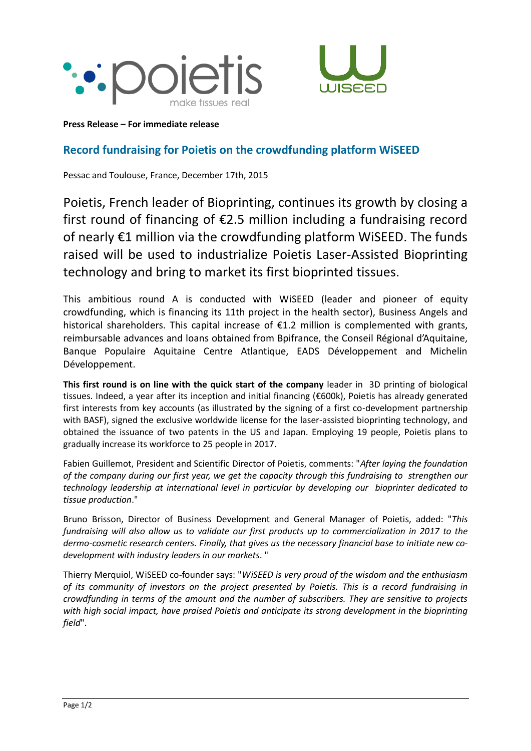



**Press Release – For immediate release**

## **Record fundraising for Poietis on the crowdfunding platform WiSEED**

Pessac and Toulouse, France, December 17th, 2015

Poietis, French leader of Bioprinting, continues its growth by closing a first round of financing of €2.5 million including a fundraising record of nearly €1 million via the crowdfunding platform WiSEED. The funds raised will be used to industrialize Poietis Laser-Assisted Bioprinting technology and bring to market its first bioprinted tissues.

This ambitious round A is conducted with WiSEED (leader and pioneer of equity crowdfunding, which is financing its 11th project in the health sector), Business Angels and historical shareholders. This capital increase of €1.2 million is complemented with grants, reimbursable advances and loans obtained from Bpifrance, the Conseil Régional d'Aquitaine, Banque Populaire Aquitaine Centre Atlantique, EADS Développement and Michelin Développement.

**This first round is on line with the quick start of the company** leader in 3D printing of biological tissues. Indeed, a year after its inception and initial financing (€600k), Poietis has already generated first interests from key accounts (as illustrated by the signing of a first co-development partnership with BASF), signed the exclusive worldwide license for the laser-assisted bioprinting technology, and obtained the issuance of two patents in the US and Japan. Employing 19 people, Poietis plans to gradually increase its workforce to 25 people in 2017.

Fabien Guillemot, President and Scientific Director of Poietis, comments: "*After laying the foundation of the company during our first year, we get the capacity through this fundraising to strengthen our technology leadership at international level in particular by developing our bioprinter dedicated to tissue production*."

Bruno Brisson, Director of Business Development and General Manager of Poietis, added: "*This fundraising will also allow us to validate our first products up to commercialization in 2017 to the dermo-cosmetic research centers. Finally, that gives us the necessary financial base to initiate new codevelopment with industry leaders in our markets*. "

Thierry Merquiol, WiSEED co-founder says: "*WiSEED is very proud of the wisdom and the enthusiasm of its community of investors on the project presented by Poietis. This is a record fundraising in crowdfunding in terms of the amount and the number of subscribers. They are sensitive to projects with high social impact, have praised Poietis and anticipate its strong development in the bioprinting field*".